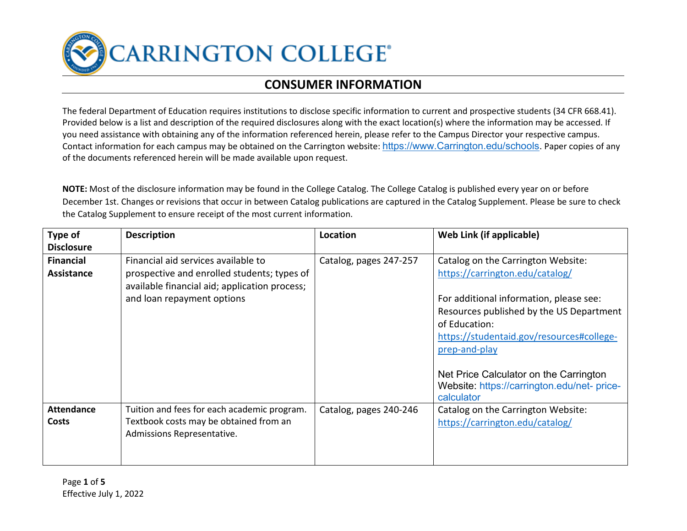**CARRINGTON COLLEGE®** 

## **CONSUMER INFORMATION**

The federal Department of Education requires institutions to disclose specific information to current and prospective students (34 CFR 668.41). Provided below is a list and description of the required disclosures along with the exact location(s) where the information may be accessed. If you need assistance with obtaining any of the information referenced herein, please refer to the Campus Director your respective campus. Contact information for each campus may be obtained on the Carrington website: [https://www.Carrington.edu/schools.](https://www.carrington.edu/schools) Paper copies of any of the documents referenced herein will be made available upon request.

**NOTE:** Most of the disclosure information may be found in the College Catalog. The College Catalog is published every year on or before December 1st. Changes or revisions that occur in between Catalog publications are captured in the Catalog Supplement. Please be sure to check the Catalog Supplement to ensure receipt of the most current information.

| Type of                               | <b>Description</b>                                                                                                                                                | Location               | Web Link (if applicable)                                                                                                                                                           |
|---------------------------------------|-------------------------------------------------------------------------------------------------------------------------------------------------------------------|------------------------|------------------------------------------------------------------------------------------------------------------------------------------------------------------------------------|
| <b>Disclosure</b>                     |                                                                                                                                                                   |                        |                                                                                                                                                                                    |
| <b>Financial</b><br><b>Assistance</b> | Financial aid services available to<br>prospective and enrolled students; types of<br>available financial aid; application process;<br>and loan repayment options | Catalog, pages 247-257 | Catalog on the Carrington Website:<br>https://carrington.edu/catalog/<br>For additional information, please see:<br>Resources published by the US Department                       |
|                                       |                                                                                                                                                                   |                        | of Education:<br>https://studentaid.gov/resources#college-<br>prep-and-play<br>Net Price Calculator on the Carrington<br>Website: https://carrington.edu/net- price-<br>calculator |
| <b>Attendance</b><br><b>Costs</b>     | Tuition and fees for each academic program.<br>Textbook costs may be obtained from an<br>Admissions Representative.                                               | Catalog, pages 240-246 | Catalog on the Carrington Website:<br>https://carrington.edu/catalog/                                                                                                              |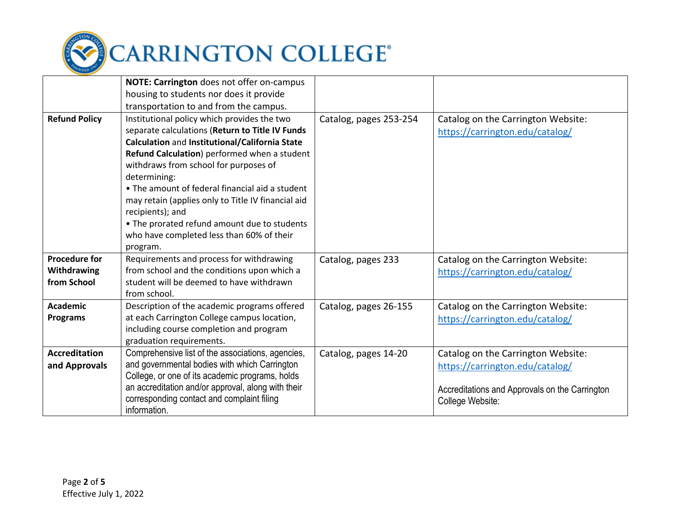

|                      | NOTE: Carrington does not offer on-campus          |                        |                                                |
|----------------------|----------------------------------------------------|------------------------|------------------------------------------------|
|                      | housing to students nor does it provide            |                        |                                                |
|                      | transportation to and from the campus.             |                        |                                                |
| <b>Refund Policy</b> | Institutional policy which provides the two        | Catalog, pages 253-254 | Catalog on the Carrington Website:             |
|                      | separate calculations (Return to Title IV Funds    |                        | https://carrington.edu/catalog/                |
|                      | Calculation and Institutional/California State     |                        |                                                |
|                      | Refund Calculation) performed when a student       |                        |                                                |
|                      | withdraws from school for purposes of              |                        |                                                |
|                      | determining:                                       |                        |                                                |
|                      | • The amount of federal financial aid a student    |                        |                                                |
|                      | may retain (applies only to Title IV financial aid |                        |                                                |
|                      | recipients); and                                   |                        |                                                |
|                      | • The prorated refund amount due to students       |                        |                                                |
|                      | who have completed less than 60% of their          |                        |                                                |
|                      | program.                                           |                        |                                                |
| <b>Procedure for</b> | Requirements and process for withdrawing           | Catalog, pages 233     | Catalog on the Carrington Website:             |
| Withdrawing          | from school and the conditions upon which a        |                        | https://carrington.edu/catalog/                |
| from School          | student will be deemed to have withdrawn           |                        |                                                |
|                      | from school.                                       |                        |                                                |
| <b>Academic</b>      | Description of the academic programs offered       | Catalog, pages 26-155  | Catalog on the Carrington Website:             |
| <b>Programs</b>      | at each Carrington College campus location,        |                        | https://carrington.edu/catalog/                |
|                      | including course completion and program            |                        |                                                |
|                      | graduation requirements.                           |                        |                                                |
| <b>Accreditation</b> | Comprehensive list of the associations, agencies,  | Catalog, pages 14-20   | Catalog on the Carrington Website:             |
| and Approvals        | and governmental bodies with which Carrington      |                        | https://carrington.edu/catalog/                |
|                      | College, or one of its academic programs, holds    |                        |                                                |
|                      | an accreditation and/or approval, along with their |                        | Accreditations and Approvals on the Carrington |
|                      | corresponding contact and complaint filing         |                        | College Website:                               |
|                      | information.                                       |                        |                                                |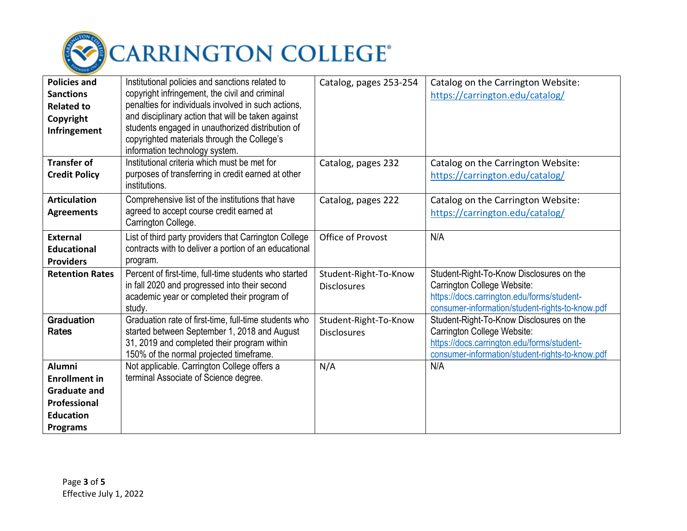

| <b>Policies and</b><br><b>Sanctions</b><br><b>Related to</b><br>Copyright<br>Infringement                                  | Institutional policies and sanctions related to<br>copyright infringement, the civil and criminal<br>penalties for individuals involved in such actions,<br>and disciplinary action that will be taken against<br>students engaged in unauthorized distribution of<br>copyrighted materials through the College's<br>information technology system. | Catalog, pages 253-254                      | Catalog on the Carrington Website:<br>https://carrington.edu/catalog/                                                                                                    |
|----------------------------------------------------------------------------------------------------------------------------|-----------------------------------------------------------------------------------------------------------------------------------------------------------------------------------------------------------------------------------------------------------------------------------------------------------------------------------------------------|---------------------------------------------|--------------------------------------------------------------------------------------------------------------------------------------------------------------------------|
| <b>Transfer of</b><br><b>Credit Policy</b>                                                                                 | Institutional criteria which must be met for<br>purposes of transferring in credit earned at other<br>institutions.                                                                                                                                                                                                                                 | Catalog, pages 232                          | Catalog on the Carrington Website:<br>https://carrington.edu/catalog/                                                                                                    |
| <b>Articulation</b><br><b>Agreements</b>                                                                                   | Comprehensive list of the institutions that have<br>agreed to accept course credit earned at<br>Carrington College.                                                                                                                                                                                                                                 | Catalog, pages 222                          | Catalog on the Carrington Website:<br>https://carrington.edu/catalog/                                                                                                    |
| <b>External</b><br><b>Educational</b><br><b>Providers</b>                                                                  | List of third party providers that Carrington College<br>contracts with to deliver a portion of an educational<br>program.                                                                                                                                                                                                                          | Office of Provost                           | N/A                                                                                                                                                                      |
| <b>Retention Rates</b>                                                                                                     | Percent of first-time, full-time students who started<br>in fall 2020 and progressed into their second<br>academic year or completed their program of<br>study.                                                                                                                                                                                     | Student-Right-To-Know<br><b>Disclosures</b> | Student-Right-To-Know Disclosures on the<br>Carrington College Website:<br>https://docs.carrington.edu/forms/student-<br>consumer-information/student-rights-to-know.pdf |
| Graduation<br>Rates                                                                                                        | Graduation rate of first-time, full-time students who<br>started between September 1, 2018 and August<br>31, 2019 and completed their program within<br>150% of the normal projected timeframe.                                                                                                                                                     | Student-Right-To-Know<br><b>Disclosures</b> | Student-Right-To-Know Disclosures on the<br>Carrington College Website:<br>https://docs.carrington.edu/forms/student-<br>consumer-information/student-rights-to-know.pdf |
| <b>Alumni</b><br><b>Enrollment in</b><br><b>Graduate and</b><br><b>Professional</b><br><b>Education</b><br><b>Programs</b> | Not applicable. Carrington College offers a<br>terminal Associate of Science degree.                                                                                                                                                                                                                                                                | N/A                                         | N/A                                                                                                                                                                      |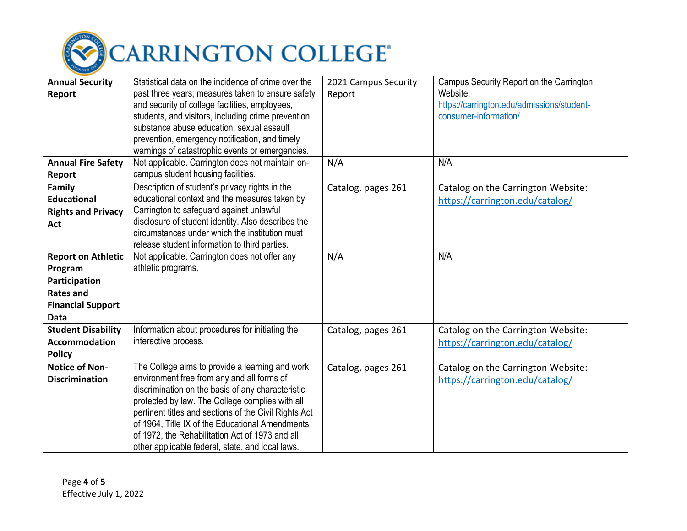

| <b>Annual Security</b>    | Statistical data on the incidence of crime over the   | 2021 Campus Security | Campus Security Report on the Carrington   |
|---------------------------|-------------------------------------------------------|----------------------|--------------------------------------------|
| Report                    | past three years; measures taken to ensure safety     | Report               | Website:                                   |
|                           | and security of college facilities, employees,        |                      | https://carrington.edu/admissions/student- |
|                           | students, and visitors, including crime prevention,   |                      | consumer-information/                      |
|                           | substance abuse education, sexual assault             |                      |                                            |
|                           | prevention, emergency notification, and timely        |                      |                                            |
|                           | warnings of catastrophic events or emergencies.       |                      |                                            |
| <b>Annual Fire Safety</b> | Not applicable. Carrington does not maintain on-      | N/A                  | N/A                                        |
| <b>Report</b>             | campus student housing facilities.                    |                      |                                            |
| Family                    | Description of student's privacy rights in the        | Catalog, pages 261   | Catalog on the Carrington Website:         |
| <b>Educational</b>        | educational context and the measures taken by         |                      | https://carrington.edu/catalog/            |
| <b>Rights and Privacy</b> | Carrington to safeguard against unlawful              |                      |                                            |
| Act                       | disclosure of student identity. Also describes the    |                      |                                            |
|                           | circumstances under which the institution must        |                      |                                            |
|                           | release student information to third parties.         |                      |                                            |
| <b>Report on Athletic</b> | Not applicable. Carrington does not offer any         | N/A                  | N/A                                        |
| Program                   | athletic programs.                                    |                      |                                            |
| Participation             |                                                       |                      |                                            |
| <b>Rates and</b>          |                                                       |                      |                                            |
| <b>Financial Support</b>  |                                                       |                      |                                            |
| <b>Data</b>               |                                                       |                      |                                            |
| <b>Student Disability</b> | Information about procedures for initiating the       | Catalog, pages 261   | Catalog on the Carrington Website:         |
| <b>Accommodation</b>      | interactive process.                                  |                      | https://carrington.edu/catalog/            |
| <b>Policy</b>             |                                                       |                      |                                            |
| <b>Notice of Non-</b>     | The College aims to provide a learning and work       | Catalog, pages 261   | Catalog on the Carrington Website:         |
| <b>Discrimination</b>     | environment free from any and all forms of            |                      | https://carrington.edu/catalog/            |
|                           | discrimination on the basis of any characteristic     |                      |                                            |
|                           | protected by law. The College complies with all       |                      |                                            |
|                           | pertinent titles and sections of the Civil Rights Act |                      |                                            |
|                           | of 1964, Title IX of the Educational Amendments       |                      |                                            |
|                           | of 1972, the Rehabilitation Act of 1973 and all       |                      |                                            |
|                           | other applicable federal, state, and local laws.      |                      |                                            |